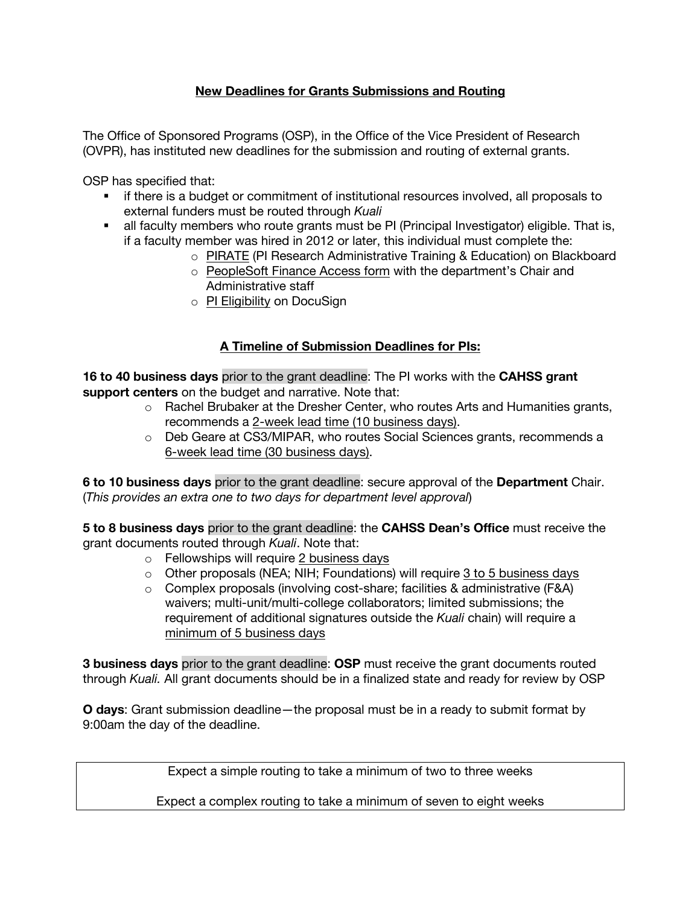## **New Deadlines for Grants Submissions and Routing**

The Office of Sponsored Programs (OSP), in the Office of the Vice President of Research (OVPR), has instituted new deadlines for the submission and routing of external grants.

OSP has specified that:

- **•** if there is a budget or commitment of institutional resources involved, all proposals to external funders must be routed through *Kuali*
- all faculty members who route grants must be PI (Principal Investigator) eligible. That is, if a faculty member was hired in 2012 or later, this individual must complete the:
	- o PIRATE (PI Research Administrative Training & Education) on Blackboard
	- o PeopleSoft Finance Access form with the department's Chair and Administrative staff
	- o PI Eligibility on DocuSign

## **A Timeline of Submission Deadlines for PIs:**

**16 to 40 business days** prior to the grant deadline: The PI works with the **CAHSS grant support centers** on the budget and narrative. Note that:

- $\circ$  Rachel Brubaker at the Dresher Center, who routes Arts and Humanities grants, recommends a 2-week lead time (10 business days).
- o Deb Geare at CS3/MIPAR, who routes Social Sciences grants, recommends a 6-week lead time (30 business days).

**6 to 10 business days** prior to the grant deadline: secure approval of the **Department** Chair. (*This provides an extra one to two days for department level approval*)

**5 to 8 business days** prior to the grant deadline: the **CAHSS Dean's Office** must receive the grant documents routed through *Kuali*. Note that:

- o Fellowships will require 2 business days
- $\circ$  Other proposals (NEA; NIH; Foundations) will require 3 to 5 business days
- $\circ$  Complex proposals (involving cost-share; facilities & administrative (F&A) waivers; multi-unit/multi-college collaborators; limited submissions; the requirement of additional signatures outside the *Kuali* chain) will require a minimum of 5 business days

**3 business days** prior to the grant deadline: **OSP** must receive the grant documents routed through *Kuali.* All grant documents should be in a finalized state and ready for review by OSP

**O days**: Grant submission deadline—the proposal must be in a ready to submit format by 9:00am the day of the deadline.

Expect a simple routing to take a minimum of two to three weeks

Expect a complex routing to take a minimum of seven to eight weeks